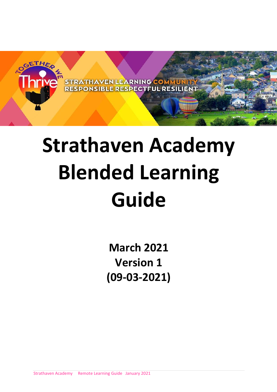

# **Strathaven Academy Blended Learning Guide**

**March 2021 Version 1 (09-03-2021)**

Strathaven Academy Remote Learning Guide January 2021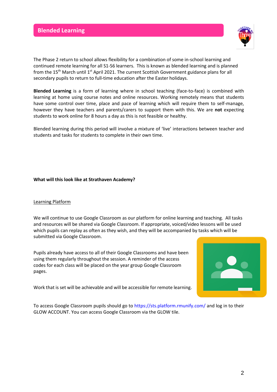

The Phase 2 return to school allows flexibility for a combination of some in-school learning and continued remote learning for all S1-S6 learners. This is known as blended learning and is planned from the 15<sup>th</sup> March until 1<sup>st</sup> April 2021. The current Scottish Government guidance plans for all secondary pupils to return to full-time education after the Easter holidays.

**Blended Learning** is a form of learning where in school teaching (face-to-face) is combined with learning at home using course notes and online resources. Working remotely means that students have some control over time, place and pace of learning which will require them to self-manage, however they have teachers and parents/carers to support them with this. We are **not** expecting students to work online for 8 hours a day as this is not feasible or healthy.

Blended learning during this period will involve a mixture of 'live' interactions between teacher and students and tasks for students to complete in their own time.

#### **What will this look like at Strathaven Academy?**

# Learning Platform

We will continue to use Google Classroom as our platform for online learning and teaching. All tasks and resources will be shared via Google Classroom. If appropriate, voiced/video lessons will be used which pupils can replay as often as they wish, and they will be accompanied by tasks which will be submitted via Google Classroom.

Pupils already have access to all of their Google Classrooms and have been using them regularly throughout the session. A reminder of the access codes for each class will be placed on the year group Google Classroom pages.



Work that is set will be achievable and will be accessible for remote learning.

To access Google Classroom pupils should go t[o https://sts.platform.rmunify.com/](https://sts.platform.rmunify.com/) and log in to their GLOW ACCOUNT. You can access Google Classroom via the GLOW tile.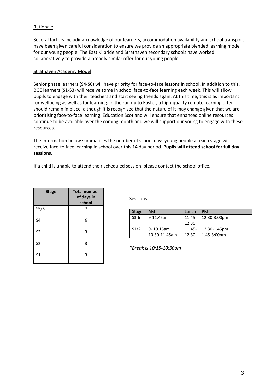# **Rationale**

Several factors including knowledge of our learners, accommodation availability and school transport have been given careful consideration to ensure we provide an appropriate blended learning model for our young people. The East Kilbride and Strathaven secondary schools have worked collaboratively to provide a broadly similar offer for our young people.

#### Strathaven Academy Model

Senior phase learners (S4-S6) will have priority for face-to-face lessons in school. In addition to this, BGE learners (S1-S3) will receive some in school face-to-face learning each week. This will allow pupils to engage with their teachers and start seeing friends again. At this time, this is as important for wellbeing as well as for learning. In the run up to Easter, a high-quality remote learning offer should remain in place, although it is recognised that the nature of it may change given that we are prioritising face-to-face learning. Education Scotland will ensure that enhanced online resources continue to be available over the coming month and we will support our young to engage with these resources.

The information below summarises the number of school days young people at each stage will receive face-to face learning in school over this 14 day period. **Pupils will attend school for full day sessions.**

**I**f a child is unable to attend their scheduled session, please contact the school office.

| <b>Stage</b>   | <b>Total number</b><br>of days in<br>school |
|----------------|---------------------------------------------|
| S5/6           |                                             |
| S4             | 6                                           |
| S <sub>3</sub> | 3                                           |
| S <sub>2</sub> | 3                                           |
| S <sub>1</sub> | 3                                           |

Sessions

| <b>Stage</b> | AM             | Lunch     | <b>PM</b>       |
|--------------|----------------|-----------|-----------------|
| $S3-6$       | 9-11.45am      | $11.45 -$ | 12.30-3:00pm    |
|              |                | 12.30     |                 |
| S1/2         | $9 - 10.15$ am | $11.45 -$ | 12.30-1.45pm    |
|              | 10.30-11.45am  | 12.30     | $1.45 - 3:00pm$ |

*\*Break is 10:15-10:30am*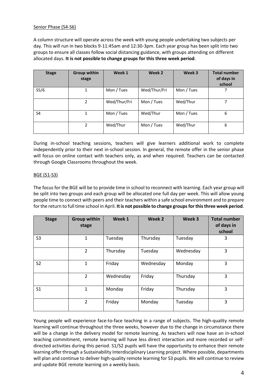## Senior Phase (S4-S6)

A column structure will operate across the week with young people undertaking two subjects per day. This will run in two blocks 9-11:45am and 12:30-3pm. Each year group has been split into two groups to ensure all classes follow social distancing guidance, with groups attending on different allocated days. **It is not possible to change groups for this three week period**.

| <b>Stage</b>      | <b>Group within</b><br>stage | Week 1       | Week 2       | Week 3     | <b>Total number</b><br>of days in<br>school |
|-------------------|------------------------------|--------------|--------------|------------|---------------------------------------------|
| S <sub>5</sub> /6 | 1                            | Mon / Tues   | Wed/Thur/Fri | Mon / Tues |                                             |
|                   | 2                            | Wed/Thur/Fri | Mon / Tues   | Wed/Thur   |                                             |
| S <sub>4</sub>    |                              | Mon / Tues   | Wed/Thur     | Mon / Tues | 6                                           |
|                   | 2                            | Wed/Thur     | Mon / Tues   | Wed/Thur   | 6                                           |

During in-school teaching sessions, teachers will give learners additional work to complete independently prior to their next in-school session. In general, the remote offer in the senior phase will focus on online contact with teachers only, as and when required. Teachers can be contacted through Google Classrooms throughout the week.

## BGE (S1-S3)

The focus for the BGE will be to provide time in school to reconnect with learning. Each year group will be split into two groups and each group will be allocated one full day per week. This will allow young people time to connect with peers and their teachers within a safe school environment and to prepare for the return to full time school in April. **It is not possible to change groupsfor this three week period**.

| <b>Stage</b>   | <b>Group within</b><br>stage | Week 1    | Week 2    | Week 3    | <b>Total number</b><br>of days in<br>school |
|----------------|------------------------------|-----------|-----------|-----------|---------------------------------------------|
| S <sub>3</sub> | 1                            | Tuesday   | Thursday  | Tuesday   | 3                                           |
|                | $\overline{2}$               | Thursday  | Tuesday   | Wednesday | 3                                           |
| S <sub>2</sub> | 1                            | Friday    | Wednesday | Monday    | 3                                           |
|                | $\overline{2}$               | Wednesday | Friday    | Thursday  | 3                                           |
| S <sub>1</sub> | 1                            | Monday    | Friday    | Thursday  | 3                                           |
|                | 2                            | Friday    | Monday    | Tuesday   | 3                                           |

Young people will experience face-to-face teaching in a range of subjects. The high-quality remote learning will continue throughout the three weeks, however due to the change in circumstance there will be a change in the delivery model for remote learning. As teachers will now have an in-school teaching commitment, remote learning will have less direct interaction and more recorded or selfdirected activities during this period. S1/S2 pupils will have the opportunity to enhance their remote learning offer through a Sustainability Interdisciplinary Learning project. Where possible, departments will plan and continue to deliver high-quality remote learning for S3 pupils. We will continue to review and update BGE remote learning on a weekly basis.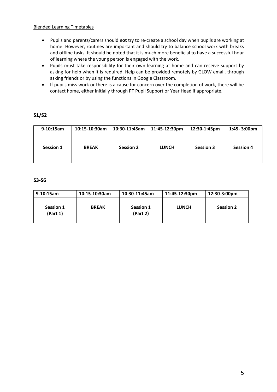# Blended Learning Timetables

- Pupils and parents/carers should **not** try to re-create a school day when pupils are working at home. However, routines are important and should try to balance school work with breaks and offline tasks. It should be noted that it is much more beneficial to have a successful hour of learning where the young person is engaged with the work.
- Pupils must take responsibility for their own learning at home and can receive support by asking for help when it is required. Help can be provided remotely by GLOW email, through asking friends or by using the functions in Google Classroom.
- If pupils miss work or there is a cause for concern over the completion of work, there will be contact home, either initially through PT Pupil Support or Year Head if appropriate.

# **S1/S2**

| 9-10:15am        | 10:15-10:30am | 10:30-11:45am    | 11:45-12:30pm | 12:30-1:45pm     | $1:45 - 3:00 \text{pm}$ |
|------------------|---------------|------------------|---------------|------------------|-------------------------|
| <b>Session 1</b> | <b>BREAK</b>  | <b>Session 2</b> | <b>LUNCH</b>  | <b>Session 3</b> | <b>Session 4</b>        |

# **S3-S6**

| $9-10:15am$           | 10:15-10:30am | 10:30-11:45am         | 11:45-12:30pm | 12:30-3:00pm     |
|-----------------------|---------------|-----------------------|---------------|------------------|
| Session 1<br>(Part 1) | <b>BREAK</b>  | Session 1<br>(Part 2) | <b>LUNCH</b>  | <b>Session 2</b> |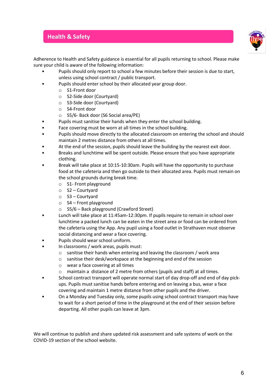# **Health & Safety**



Adherence to Health and Safety guidance is essential for all pupils returning to school. Please make sure your child is aware of the following information:

- Pupils should only report to school a few minutes before their session is due to start, unless using school contract / public transport.
- Pupils should enter school by their allocated year group door.
	- o S1-Front door
	- o S2-Side door (Courtyard)
	- o S3-Side door (Courtyard)
	- o S4-Front door
	- o S5/6- Back door (S6 Social area/PE)
- Pupils must sanitise their hands when they enter the school building.
- Face covering must be worn at all times in the school building.
- Pupils should move directly to the allocated classroom on entering the school and should maintain 2 metres distance from others at all times.
- At the end of the session, pupils should leave the building by the nearest exit door.
- Breaks and lunchtime will be spent outside. Please ensure that you have appropriate clothing.
- Break will take place at 10:15-10:30am. Pupils will have the opportunity to purchase food at the cafeteria and then go outside to their allocated area. Pupils must remain on the school grounds during break time.
	- o S1- Front playground
	- o S2 Courtyard
	- o S3 Courtyard
	- o S4 Front playground
	- o S5/6 Back playground (Crawford Street)
- Lunch will take place at 11:45am-12:30pm. If pupils require to remain in school over lunchtime a packed lunch can be eaten in the street area or food can be ordered from the cafeteria using the App. Any pupil using a food outlet in Strathaven must observe social distancing and wear a face covering.
- Pupils should wear school uniform.
- In classrooms / work areas, pupils must:
	- o sanitise their hands when entering and leaving the classroom / work area
	- o sanitise their desk/workspace at the beginning and end of the session
	- o wear a face covering at all times
	- o maintain a distance of 2 metre from others (pupils and staff) at all times.
- School contract transport will operate normal start of day drop-off and end of day pickups. Pupils must sanitise hands before entering and on leaving a bus, wear a face covering and maintain 1 metre distance from other pupils and the driver.
- On a Monday and Tuesday only, some pupils using school contract transport may have to wait for a short period of time in the playground at the end of their session before departing. All other pupils can leave at 3pm.

We will continue to publish and share updated risk assessment and safe systems of work on the COVID-19 section of the school website.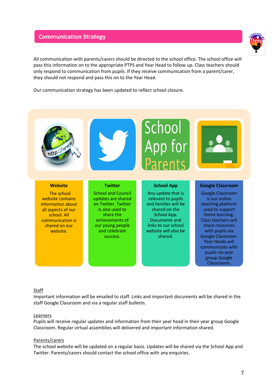# **Communication Strategy**



All communication with parents/carers should be directed to the school office. The school office will pass this information on to the appropriate PTPS and Year Head to follow up. Class teachers should only respond to communication from pupils. If they receive communication from a parent/carer, they should not respond and pass this on to the Year Head.

Our communication strategy has been updated to reflect school closure.



#### Staff

Important information will be emailed to staff. Links and important documents will be shared in the staff Google Classroom and via a regular staff bulletin.

#### Learners

Pupils will receive regular updates and information from their year head in their year group Google Classroom. Regular virtual assemblies will delivered and important information shared.

#### Parents/carers

The school website will be updated on a regular basis. Updates will be shared via the School App and Twitter. Parents/carers should contact the school office with any enquiries.